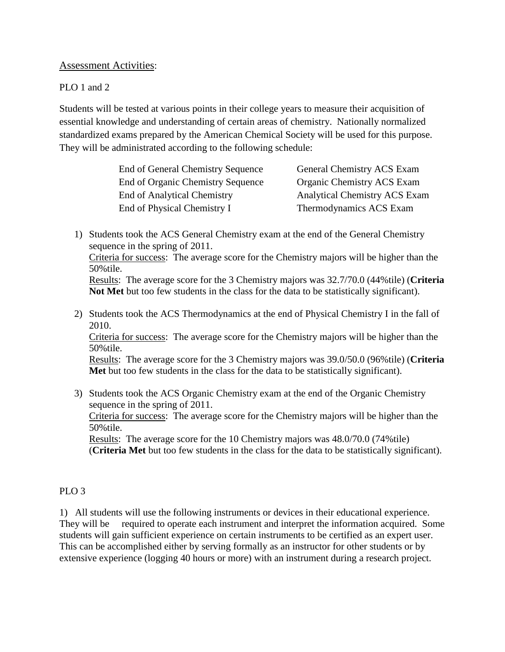# Assessment Activities:

### PLO 1 and 2

Students will be tested at various points in their college years to measure their acquisition of essential knowledge and understanding of certain areas of chemistry. Nationally normalized standardized exams prepared by the American Chemical Society will be used for this purpose. They will be administrated according to the following schedule:

| End of General Chemistry Sequence  | General Chemistry ACS Exam           |
|------------------------------------|--------------------------------------|
| End of Organic Chemistry Sequence  | <b>Organic Chemistry ACS Exam</b>    |
| <b>End of Analytical Chemistry</b> | <b>Analytical Chemistry ACS Exam</b> |
| End of Physical Chemistry I        | Thermodynamics ACS Exam              |

1) Students took the ACS General Chemistry exam at the end of the General Chemistry sequence in the spring of 2011.

Criteria for success: The average score for the Chemistry majors will be higher than the 50%tile.

Results: The average score for the 3 Chemistry majors was 32.7/70.0 (44%tile) (**Criteria Not Met** but too few students in the class for the data to be statistically significant).

2) Students took the ACS Thermodynamics at the end of Physical Chemistry I in the fall of 2010.

Criteria for success: The average score for the Chemistry majors will be higher than the 50%tile.

Results: The average score for the 3 Chemistry majors was 39.0/50.0 (96%tile) (**Criteria Met** but too few students in the class for the data to be statistically significant).

3) Students took the ACS Organic Chemistry exam at the end of the Organic Chemistry sequence in the spring of 2011. Criteria for success: The average score for the Chemistry majors will be higher than the 50%tile. Results: The average score for the 10 Chemistry majors was 48.0/70.0 (74%tile) (**Criteria Met** but too few students in the class for the data to be statistically significant).

# PLO<sub>3</sub>

1) All students will use the following instruments or devices in their educational experience. They will be required to operate each instrument and interpret the information acquired. Some students will gain sufficient experience on certain instruments to be certified as an expert user. This can be accomplished either by serving formally as an instructor for other students or by extensive experience (logging 40 hours or more) with an instrument during a research project.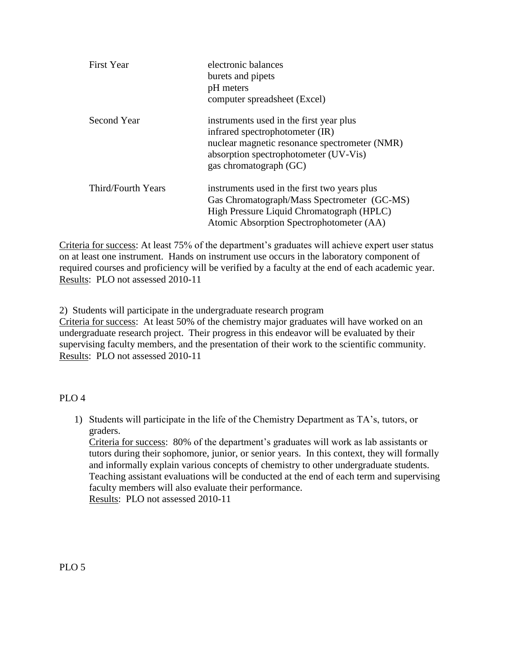| <b>First Year</b>  | electronic balances<br>burets and pipets<br>pH meters<br>computer spreadsheet (Excel)                                                                                                          |
|--------------------|------------------------------------------------------------------------------------------------------------------------------------------------------------------------------------------------|
| Second Year        | instruments used in the first year plus<br>infrared spectrophotometer (IR)<br>nuclear magnetic resonance spectrometer (NMR)<br>absorption spectrophotometer (UV-Vis)<br>gas chromatograph (GC) |
| Third/Fourth Years | instruments used in the first two years plus<br>Gas Chromatograph/Mass Spectrometer (GC-MS)<br>High Pressure Liquid Chromatograph (HPLC)<br>Atomic Absorption Spectrophotometer (AA)           |

Criteria for success: At least 75% of the department's graduates will achieve expert user status on at least one instrument. Hands on instrument use occurs in the laboratory component of required courses and proficiency will be verified by a faculty at the end of each academic year. Results: PLO not assessed 2010-11

2) Students will participate in the undergraduate research program

Criteria for success: At least 50% of the chemistry major graduates will have worked on an undergraduate research project. Their progress in this endeavor will be evaluated by their supervising faculty members, and the presentation of their work to the scientific community. Results: PLO not assessed 2010-11

# PLO 4

1) Students will participate in the life of the Chemistry Department as TA's, tutors, or graders.

Criteria for success: 80% of the department's graduates will work as lab assistants or tutors during their sophomore, junior, or senior years. In this context, they will formally and informally explain various concepts of chemistry to other undergraduate students. Teaching assistant evaluations will be conducted at the end of each term and supervising faculty members will also evaluate their performance. Results: PLO not assessed 2010-11